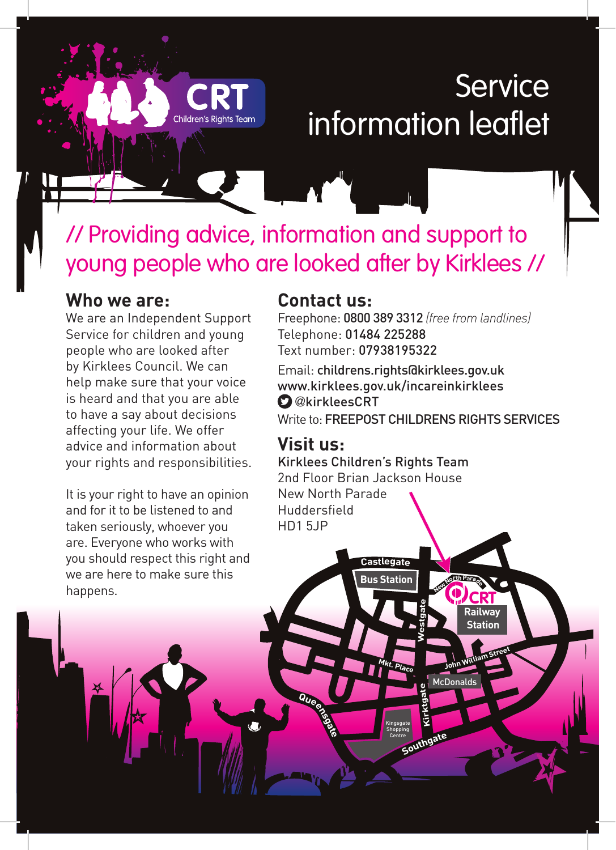# **Service** information leaflet

// Providing advice, information and support to young people who are looked after by Kirklees //

## **Who we are:**

We are an Independent Support Service for children and young people who are looked after by Kirklees Council. We can help make sure that your voice is heard and that you are able to have a say about decisions affecting your life. We offer advice and information about your rights and responsibilities.

It is your right to have an opinion and for it to be listened to and taken seriously, whoever you are. Everyone who works with you should respect this right and we are here to make sure this happens.

## **Contact us:**

Freephone: 0800 389 3312 *(free from landlines)* Telephone: 01484 225288 Text number: 07938195322

Email: childrens.rights@kirklees.gov.uk www.kirklees.gov.uk/incareinkirklees **O**@kirkleesCRT Write to: **FREEPOST CHILDRENS RIGHTS SERVICES** 

> **Railway Station**

**<sup>J</sup>oh<sup>n</sup> <sup>W</sup>illia<sup>m</sup> <sup>S</sup>tree<sup>t</sup>**

**CRT**

McDonalds

**<sup>N</sup>e<sup>w</sup> <sup>N</sup>orthPar<sup>a</sup>d<sup>e</sup>**

**Southgat<sup>e</sup>**

**Kirktgate**

**Westgate**

## **Visit us:**

**Queensgate**

Kirklees Children's Rights Team 2nd Floor Brian Jackson House New North Parade Huddersfield HD1 5JP

**Castlegat<sup>e</sup>**

**Bus Station**

**Mkt. Place**

Kingsgate Shopping Centre